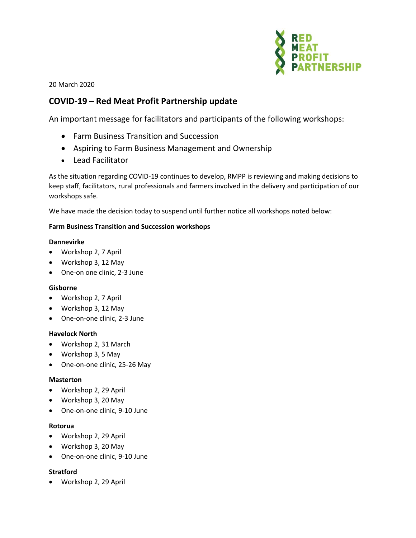

20 March 2020

# **COVID-19 – Red Meat Profit Partnership update**

An important message for facilitators and participants of the following workshops:

- Farm Business Transition and Succession
- Aspiring to Farm Business Management and Ownership
- Lead Facilitator

As the situation regarding COVID-19 continues to develop, RMPP is reviewing and making decisions to keep staff, facilitators, rural professionals and farmers involved in the delivery and participation of our workshops safe.

We have made the decision today to suspend until further notice all workshops noted below:

# **Farm Business Transition and Succession workshops**

# **Dannevirke**

- Workshop 2, 7 April
- Workshop 3, 12 May
- One-on one clinic, 2-3 June

# **Gisborne**

- Workshop 2, 7 April
- Workshop 3, 12 May
- One-on-one clinic, 2-3 June

# **Havelock North**

- Workshop 2, 31 March
- Workshop 3, 5 May
- One-on-one clinic, 25-26 May

### **Masterton**

- Workshop 2, 29 April
- Workshop 3, 20 May
- One-on-one clinic, 9-10 June

### **Rotorua**

- Workshop 2, 29 April
- Workshop 3, 20 May
- One-on-one clinic, 9-10 June

# **Stratford**

• Workshop 2, 29 April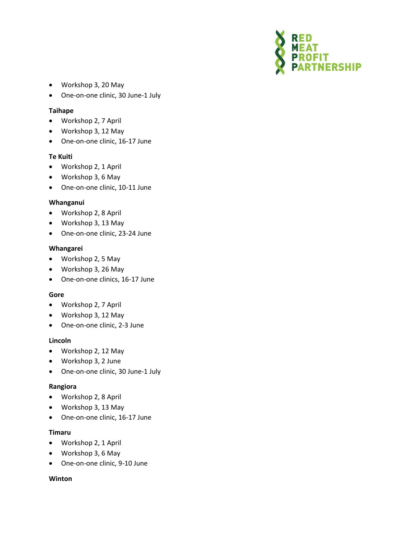

- Workshop 3, 20 May
- One-on-one clinic, 30 June-1 July

#### **Taihape**

- Workshop 2, 7 April
- Workshop 3, 12 May
- One-on-one clinic, 16-17 June

#### **Te Kuiti**

- Workshop 2, 1 April
- Workshop 3, 6 May
- One-on-one clinic, 10-11 June

#### **Whanganui**

- Workshop 2, 8 April
- Workshop 3, 13 May
- One-on-one clinic, 23-24 June

#### **Whangarei**

- Workshop 2, 5 May
- Workshop 3, 26 May
- One-on-one clinics, 16-17 June

#### **Gore**

- Workshop 2, 7 April
- Workshop 3, 12 May
- One-on-one clinic, 2-3 June

#### **Lincoln**

- Workshop 2, 12 May
- Workshop 3, 2 June
- One-on-one clinic, 30 June-1 July

#### **Rangiora**

- Workshop 2, 8 April
- Workshop 3, 13 May
- One-on-one clinic, 16-17 June

#### **Timaru**

- Workshop 2, 1 April
- Workshop 3, 6 May
- One-on-one clinic, 9-10 June

#### **Winton**